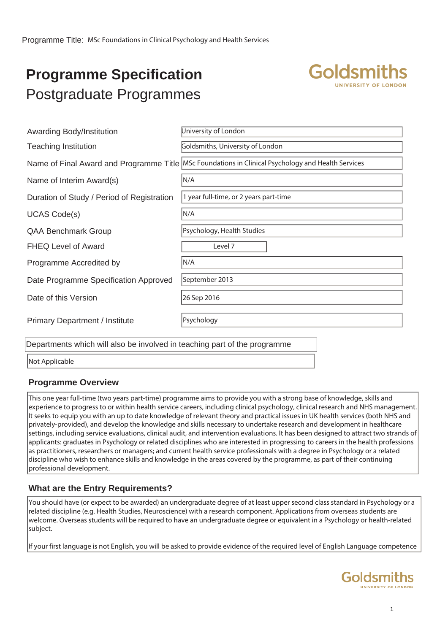# **Programme Specification** Postgraduate Programmes



| Awarding Body/Institution                                                                                           | University of London                                                                                 |  |  |
|---------------------------------------------------------------------------------------------------------------------|------------------------------------------------------------------------------------------------------|--|--|
| <b>Teaching Institution</b>                                                                                         | Goldsmiths, University of London                                                                     |  |  |
|                                                                                                                     | Name of Final Award and Programme Title   MSc Foundations in Clinical Psychology and Health Services |  |  |
| Name of Interim Award(s)                                                                                            | N/A                                                                                                  |  |  |
| Duration of Study / Period of Registration                                                                          | 1 year full-time, or 2 years part-time                                                               |  |  |
| <b>UCAS Code(s)</b>                                                                                                 | N/A                                                                                                  |  |  |
| <b>QAA Benchmark Group</b>                                                                                          | Psychology, Health Studies                                                                           |  |  |
| <b>FHEQ Level of Award</b>                                                                                          | Level 7                                                                                              |  |  |
| Programme Accredited by                                                                                             | N/A                                                                                                  |  |  |
| Date Programme Specification Approved                                                                               | September 2013                                                                                       |  |  |
| Date of this Version                                                                                                | 26 Sep 2016                                                                                          |  |  |
| <b>Primary Department / Institute</b>                                                                               | Psychology                                                                                           |  |  |
| متعرضها فالمستقبل والمستحدث والمتحال والمتحارب والمتحال والمستحدث والمتحارب والمتحارب والمتحارب والمتحارب والمتحارث |                                                                                                      |  |  |

Departments which will also be involved in teaching part of the programme

Not Applicable

### **Programme Overview**

This one year full-time (two years part-time) programme aims to provide you with a strong base of knowledge, skills and experience to progress to or within health service careers, including clinical psychology, clinical research and NHS management. It seeks to equip you with an up to date knowledge of relevant theory and practical issues in UK health services (both NHS and privately-provided), and develop the knowledge and skills necessary to undertake research and development in healthcare settings, including service evaluations, clinical audit, and intervention evaluations. It has been designed to attract two strands of applicants: graduates in Psychology or related disciplines who are interested in progressing to careers in the health professions as practitioners, researchers or managers; and current health service professionals with a degree in Psychology or a related discipline who wish to enhance skills and knowledge in the areas covered by the programme, as part of their continuing professional development.

### **What are the Entry Requirements?**

You should have (or expect to be awarded) an undergraduate degree of at least upper second class standard in Psychology or a related discipline (e.g. Health Studies, Neuroscience) with a research component. Applications from overseas students are welcome. Overseas students will be required to have an undergraduate degree or equivalent in a Psychology or health-related subject.

If your first language is not English, you will be asked to provide evidence of the required level of English Language competence

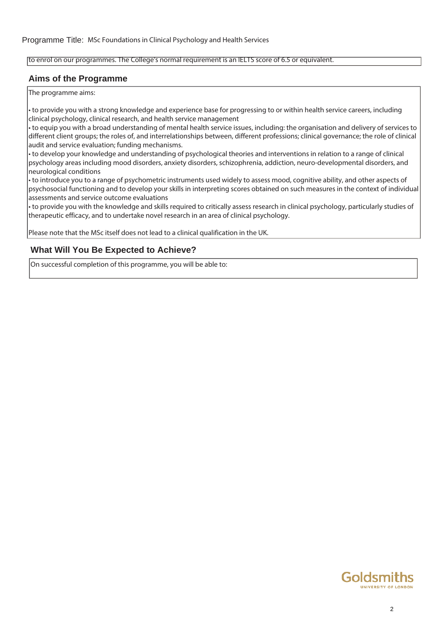#### to enrol on our programmes. The College's normal requirement is an IELTS score of 6.5 or equivalent.

#### **Aims of the Programme**

The programme aims:

• to provide you with a strong knowledge and experience base for progressing to or within health service careers, including clinical psychology, clinical research, and health service management

• to equip you with a broad understanding of mental health service issues, including: the organisation and delivery of services to different client groups; the roles of, and interrelationships between, different professions; clinical governance; the role of clinical audit and service evaluation; funding mechanisms.

• to develop your knowledge and understanding of psychological theories and interventions in relation to a range of clinical psychology areas including mood disorders, anxiety disorders, schizophrenia, addiction, neuro-developmental disorders, and neurological conditions

• to introduce you to a range of psychometric instruments used widely to assess mood, cognitive ability, and other aspects of psychosocial functioning and to develop your skills in interpreting scores obtained on such measures in the context of individual assessments and service outcome evaluations

• to provide you with the knowledge and skills required to critically assess research in clinical psychology, particularly studies of therapeutic efficacy, and to undertake novel research in an area of clinical psychology.

Please note that the MSc itself does not lead to a clinical qualification in the UK.

#### **What Will You Be Expected to Achieve?**

On successful completion of this programme, you will be able to:

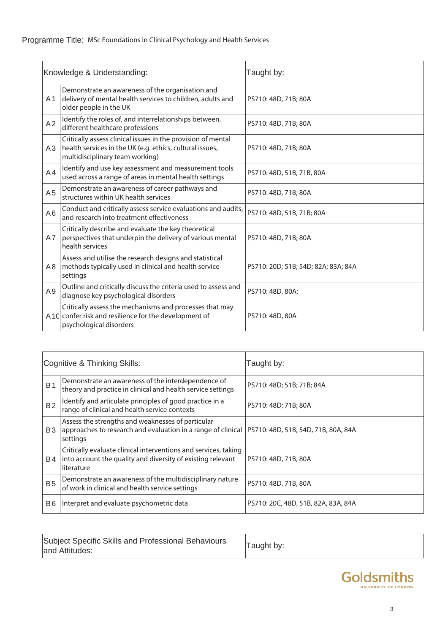| Knowledge & Understanding: |                                                                                                                                                             | Taught by:                          |  |
|----------------------------|-------------------------------------------------------------------------------------------------------------------------------------------------------------|-------------------------------------|--|
| A <sub>1</sub>             | Demonstrate an awareness of the organisation and<br>delivery of mental health services to children, adults and<br>older people in the UK                    | PS710: 48D, 71B; 80A                |  |
| A2                         | Identify the roles of, and interrelationships between,<br>different healthcare professions                                                                  | PS710: 48D, 71B; 80A                |  |
| A3                         | Critically assess clinical issues in the provision of mental<br>health services in the UK (e.g. ethics, cultural issues,<br>multidisciplinary team working) | PS710: 48D, 71B; 80A                |  |
| A4                         | Identify and use key assessment and measurement tools<br>used across a range of areas in mental health settings                                             | PS710: 48D, 51B, 71B, 80A           |  |
| A <sub>5</sub>             | Demonstrate an awareness of career pathways and<br>structures within UK health services                                                                     | PS710: 48D, 71B; 80A                |  |
| A <sub>6</sub>             | Conduct and critically assess service evaluations and audits,<br>and research into treatment effectiveness                                                  | PS710: 48D, 51B, 71B; 80A           |  |
| A7                         | Critically describe and evaluate the key theoretical<br>perspectives that underpin the delivery of various mental<br>health services                        | PS710: 48D, 71B; 80A                |  |
| A <sub>8</sub>             | Assess and utilise the research designs and statistical<br>methods typically used in clinical and health service<br>settings                                | PS710: 20D; 51B; 54D; 82A; 83A; 84A |  |
| A <sub>9</sub>             | Outline and critically discuss the criteria used to assess and<br>diagnose key psychological disorders                                                      | PS710: 48D, 80A;                    |  |
|                            | Critically assess the mechanisms and processes that may<br>A 10 confer risk and resilience for the development of<br>psychological disorders                | PS710: 48D, 80A                     |  |

| Cognitive & Thinking Skills: |                                                                                                                                                                      | Taught by:                          |  |
|------------------------------|----------------------------------------------------------------------------------------------------------------------------------------------------------------------|-------------------------------------|--|
| <b>B1</b>                    | Demonstrate an awareness of the interdependence of<br>theory and practice in clinical and health service settings                                                    | PS710: 48D; 51B; 71B; 84A           |  |
| B <sub>2</sub>               | Identify and articulate principles of good practice in a<br>range of clinical and health service contexts                                                            | PS710: 48D; 71B; 80A                |  |
| B <sub>3</sub>               | Assess the strengths and weaknesses of particular<br>approaches to research and evaluation in a range of clinical  PS710: 48D, 51B, 54D, 71B, 80A, 84A  <br>settings |                                     |  |
| B4                           | Critically evaluate clinical interventions and services, taking<br>into account the quality and diversity of existing relevant<br>literature                         | PS710: 48D, 71B, 80A                |  |
| <b>B5</b>                    | Demonstrate an awareness of the multidisciplinary nature<br>of work in clinical and health service settings                                                          | PS710: 48D, 71B, 80A                |  |
| B <sub>6</sub>               | Interpret and evaluate psychometric data                                                                                                                             | PS710: 20C, 48D, 51B, 82A, 83A, 84A |  |

| Subject Specific Skills and Professional Behaviours<br>and Attitudes: | <sup>1</sup> Taught by: |
|-----------------------------------------------------------------------|-------------------------|
|                                                                       |                         |

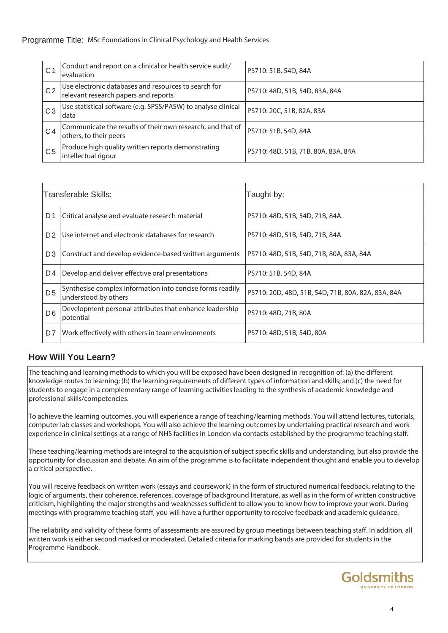| $\mathsf{C}^{\prime}$ | Conduct and report on a clinical or health service audit/<br>evaluation                      | PS710: 51B, 54D, 84A                |
|-----------------------|----------------------------------------------------------------------------------------------|-------------------------------------|
| C <sub>2</sub>        | Use electronic databases and resources to search for<br>relevant research papers and reports | PS710: 48D, 51B, 54D, 83A, 84A      |
| C <sub>3</sub>        | Use statistical software (e.g. SPSS/PASW) to analyse clinical<br>data                        | PS710: 20C, 51B, 82A, 83A           |
| C4                    | Communicate the results of their own research, and that of<br>others, to their peers         | PS710: 51B, 54D, 84A                |
| C <sub>5</sub>        | Produce high quality written reports demonstrating<br>intellectual rigour                    | PS710: 48D, 51B, 71B, 80A, 83A, 84A |

| Transferable Skills: |                                                                                   | Taught by:                                         |  |
|----------------------|-----------------------------------------------------------------------------------|----------------------------------------------------|--|
| D <sub>1</sub>       | Critical analyse and evaluate research material                                   | PS710: 48D, 51B, 54D, 71B, 84A                     |  |
| D <sub>2</sub>       | Use internet and electronic databases for research                                | PS710: 48D, 51B, 54D, 71B, 84A                     |  |
| D <sub>3</sub>       | Construct and develop evidence-based written arguments                            | PS710: 48D, 51B, 54D, 71B, 80A, 83A, 84A           |  |
| D <sub>4</sub>       | Develop and deliver effective oral presentations                                  | PS710: 51B, 54D, 84A                               |  |
| D <sub>5</sub>       | Synthesise complex information into concise forms readily<br>understood by others | PS710: 20D, 48D, 51B, 54D, 71B, 80A, 82A, 83A, 84A |  |
| D <sub>6</sub>       | Development personal attributes that enhance leadership<br>potential              | PS710: 48D, 71B, 80A                               |  |
| D7                   | Work effectively with others in team environments                                 | PS710: 48D, 51B, 54D, 80A                          |  |

## **How Will You Learn?**

The teaching and learning methods to which you will be exposed have been designed in recognition of: (a) the different knowledge routes to learning; (b) the learning requirements of different types of information and skills; and (c) the need for students to engage in a complementary range of learning activities leading to the synthesis of academic knowledge and professional skills/competencies.

To achieve the learning outcomes, you will experience a range of teaching/learning methods. You will attend lectures, tutorials, computer lab classes and workshops. You will also achieve the learning outcomes by undertaking practical research and work experience in clinical settings at a range of NHS facilities in London via contacts established by the programme teaching staff.

These teaching/learning methods are integral to the acquisition of subject specific skills and understanding, but also provide the opportunity for discussion and debate. An aim of the programme is to facilitate independent thought and enable you to develop a critical perspective.

You will receive feedback on written work (essays and coursework) in the form of structured numerical feedback, relating to the logic of arguments, their coherence, references, coverage of background literature, as well as in the form of written constructive criticism, highlighting the major strengths and weaknesses sufficient to allow you to know how to improve your work. During meetings with programme teaching staff, you will have a further opportunity to receive feedback and academic guidance.

The reliability and validity of these forms of assessments are assured by group meetings between teaching staff. In addition, all written work is either second marked or moderated. Detailed criteria for marking bands are provided for students in the Programme Handbook.

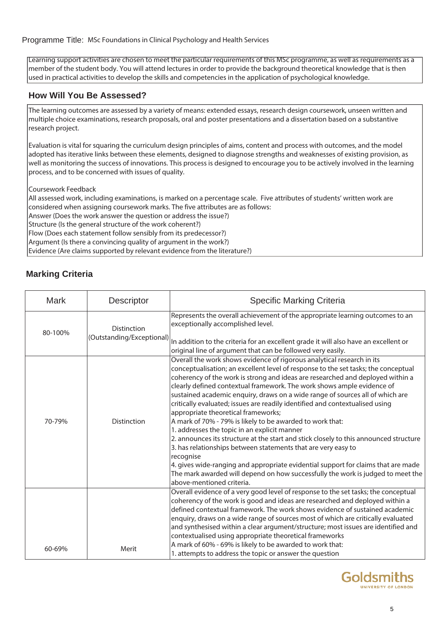Learning support activities are chosen to meet the particular requirements of this MSc programme, as well as requirements as a member of the student body. You will attend lectures in order to provide the background theoretical knowledge that is then used in practical activities to develop the skills and competencies in the application of psychological knowledge.

#### **How Will You Be Assessed?**

The learning outcomes are assessed by a variety of means: extended essays, research design coursework, unseen written and multiple choice examinations, research proposals, oral and poster presentations and a dissertation based on a substantive research project.

Evaluation is vital for squaring the curriculum design principles of aims, content and process with outcomes, and the model adopted has iterative links between these elements, designed to diagnose strengths and weaknesses of existing provision, as well as monitoring the success of innovations. This process is designed to encourage you to be actively involved in the learning process, and to be concerned with issues of quality.

Coursework Feedback

All assessed work, including examinations, is marked on a percentage scale. Five attributes of students' written work are considered when assigning coursework marks. The five attributes are as follows:

Answer (Does the work answer the question or address the issue?)

Structure (Is the general structure of the work coherent?)

Flow (Does each statement follow sensibly from its predecessor?)

Argument (Is there a convincing quality of argument in the work?)

Evidence (Are claims supported by relevant evidence from the literature?)

## **Marking Criteria**

| <b>Mark</b>                                                | Descriptor         | <b>Specific Marking Criteria</b>                                                                                                                                                                                                                                                                                                                                                                                                                                                                                                                                                                                                                                                                                                                                                                                                                                                                                                                                                                                          |
|------------------------------------------------------------|--------------------|---------------------------------------------------------------------------------------------------------------------------------------------------------------------------------------------------------------------------------------------------------------------------------------------------------------------------------------------------------------------------------------------------------------------------------------------------------------------------------------------------------------------------------------------------------------------------------------------------------------------------------------------------------------------------------------------------------------------------------------------------------------------------------------------------------------------------------------------------------------------------------------------------------------------------------------------------------------------------------------------------------------------------|
| <b>Distinction</b><br>80-100%<br>(Outstanding/Exceptional) |                    | Represents the overall achievement of the appropriate learning outcomes to an<br>exceptionally accomplished level.<br>In addition to the criteria for an excellent grade it will also have an excellent or<br>original line of argument that can be followed very easily.                                                                                                                                                                                                                                                                                                                                                                                                                                                                                                                                                                                                                                                                                                                                                 |
| 70-79%                                                     | <b>Distinction</b> | Overall the work shows evidence of rigorous analytical research in its<br>conceptualisation; an excellent level of response to the set tasks; the conceptual<br>coherency of the work is strong and ideas are researched and deployed within a<br>clearly defined contextual framework. The work shows ample evidence of<br>sustained academic enquiry, draws on a wide range of sources all of which are<br>critically evaluated; issues are readily identified and contextualised using<br>appropriate theoretical frameworks;<br>A mark of 70% - 79% is likely to be awarded to work that:<br>1. addresses the topic in an explicit manner<br>2. announces its structure at the start and stick closely to this announced structure<br>3. has relationships between statements that are very easy to<br>recognise<br>4. gives wide-ranging and appropriate evidential support for claims that are made<br>The mark awarded will depend on how successfully the work is judged to meet the<br>above-mentioned criteria. |
| 60-69%                                                     | Merit              | Overall evidence of a very good level of response to the set tasks; the conceptual<br>coherency of the work is good and ideas are researched and deployed within a<br>defined contextual framework. The work shows evidence of sustained academic<br>enquiry, draws on a wide range of sources most of which are critically evaluated<br>and synthesised within a clear argument/structure; most issues are identified and<br>contextualised using appropriate theoretical frameworks<br>A mark of 60% - 69% is likely to be awarded to work that:<br>1. attempts to address the topic or answer the question                                                                                                                                                                                                                                                                                                                                                                                                             |

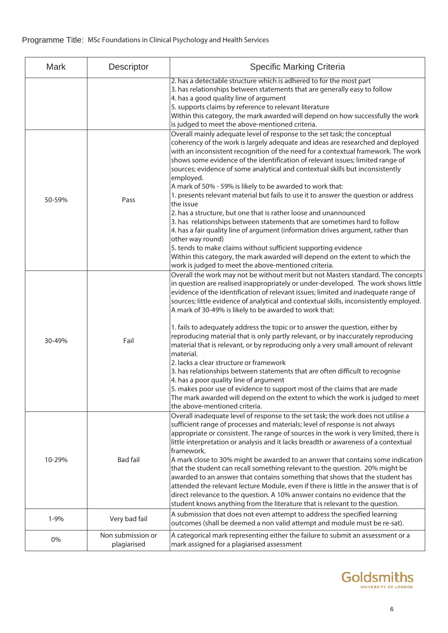| <b>Mark</b> | Descriptor                       | <b>Specific Marking Criteria</b>                                                                                                                                                                                                                                                                                                                                                                                                                                                                                                                                                                                                                                                                                                                                                                                                                                                                                                                                                                                                                                        |
|-------------|----------------------------------|-------------------------------------------------------------------------------------------------------------------------------------------------------------------------------------------------------------------------------------------------------------------------------------------------------------------------------------------------------------------------------------------------------------------------------------------------------------------------------------------------------------------------------------------------------------------------------------------------------------------------------------------------------------------------------------------------------------------------------------------------------------------------------------------------------------------------------------------------------------------------------------------------------------------------------------------------------------------------------------------------------------------------------------------------------------------------|
|             |                                  | 2. has a detectable structure which is adhered to for the most part<br>3. has relationships between statements that are generally easy to follow<br>4. has a good quality line of argument<br>5. supports claims by reference to relevant literature<br>Within this category, the mark awarded will depend on how successfully the work<br>is judged to meet the above-mentioned criteria.                                                                                                                                                                                                                                                                                                                                                                                                                                                                                                                                                                                                                                                                              |
| 50-59%      | Pass                             | Overall mainly adequate level of response to the set task; the conceptual<br>coherency of the work is largely adequate and ideas are researched and deployed<br>with an inconsistent recognition of the need for a contextual framework. The work<br>shows some evidence of the identification of relevant issues; limited range of<br>sources; evidence of some analytical and contextual skills but inconsistently<br>employed.<br>A mark of 50% - 59% is likely to be awarded to work that:<br>1. presents relevant material but fails to use it to answer the question or address<br>lthe issue<br>2. has a structure, but one that is rather loose and unannounced<br>3. has relationships between statements that are sometimes hard to follow<br>4. has a fair quality line of argument (information drives argument, rather than<br>other way round)<br>5. tends to make claims without sufficient supporting evidence<br>Within this category, the mark awarded will depend on the extent to which the<br>work is judged to meet the above-mentioned criteria. |
| 30-49%      | Fail                             | Overall the work may not be without merit but not Masters standard. The concepts<br>in question are realised inappropriately or under-developed. The work shows little<br>evidence of the identification of relevant issues; limited and inadequate range of<br>sources; little evidence of analytical and contextual skills, inconsistently employed.<br>A mark of 30-49% is likely to be awarded to work that:<br>1. fails to adequately address the topic or to answer the question, either by<br>reproducing material that is only partly relevant, or by inaccurately reproducing<br>material that is relevant, or by reproducing only a very small amount of relevant<br>lmaterial.<br>2. lacks a clear structure or framework<br>3. has relationships between statements that are often difficult to recognise<br>4. has a poor quality line of argument<br>5. makes poor use of evidence to support most of the claims that are made<br>The mark awarded will depend on the extent to which the work is judged to meet                                          |
| 10-29%      | <b>Bad fail</b>                  | the above-mentioned criteria.<br>Overall inadequate level of response to the set task; the work does not utilise a<br>sufficient range of processes and materials; level of response is not always<br>appropriate or consistent. The range of sources in the work is very limited, there is<br>little interpretation or analysis and it lacks breadth or awareness of a contextual<br>framework.<br>A mark close to 30% might be awarded to an answer that contains some indication<br>that the student can recall something relevant to the question. 20% might be<br>awarded to an answer that contains something that shows that the student has<br>attended the relevant lecture Module, even if there is little in the answer that is of<br>direct relevance to the question. A 10% answer contains no evidence that the<br>student knows anything from the literature that is relevant to the question.                                                                                                                                                           |
| $1 - 9%$    | Very bad fail                    | A submission that does not even attempt to address the specified learning<br>outcomes (shall be deemed a non valid attempt and module must be re-sat).                                                                                                                                                                                                                                                                                                                                                                                                                                                                                                                                                                                                                                                                                                                                                                                                                                                                                                                  |
| 0%          | Non submission or<br>plagiarised | A categorical mark representing either the failure to submit an assessment or a<br>mark assigned for a plagiarised assessment                                                                                                                                                                                                                                                                                                                                                                                                                                                                                                                                                                                                                                                                                                                                                                                                                                                                                                                                           |

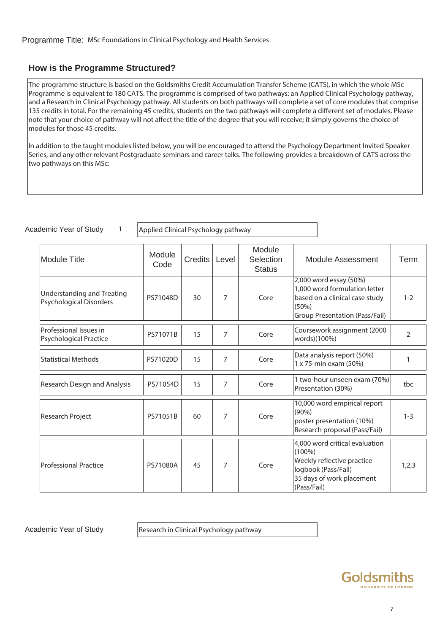### **How is the Programme Structured?**

The programme structure is based on the Goldsmiths Credit Accumulation Transfer Scheme (CATS), in which the whole MSc Programme is equivalent to 180 CATS. The programme is comprised of two pathways: an Applied Clinical Psychology pathway, and a Research in Clinical Psychology pathway. All students on both pathways will complete a set of core modules that comprise 135 credits in total. For the remaining 45 credits, students on the two pathways will complete a different set of modules. Please note that your choice of pathway will not affect the title of the degree that you will receive; it simply governs the choice of modules for those 45 credits.

In addition to the taught modules listed below, you will be encouraged to attend the Psychology Department Invited Speaker Series, and any other relevant Postgraduate seminars and career talks. The following provides a breakdown of CATS across the two pathways on this MSc:

| Academic Year of Study |  |  |
|------------------------|--|--|
|                        |  |  |

1  $\vert$  Applied Clinical Psychology pathway

| <b>Module Title</b>                                                 | Module<br>Code | Credits | Level | Module<br>Selection<br><b>Status</b> | <b>Module Assessment</b>                                                                                                                     | Term           |
|---------------------------------------------------------------------|----------------|---------|-------|--------------------------------------|----------------------------------------------------------------------------------------------------------------------------------------------|----------------|
| <b>Understanding and Treating</b><br><b>Psychological Disorders</b> | PS71048D       | 30      | 7     | Core                                 | 2,000 word essay (50%)<br>1,000 word formulation letter<br>based on a clinical case study<br>(50%)<br><b>Group Presentation (Pass/Fail)</b>  | $1 - 2$        |
| Professional Issues in<br><b>Psychological Practice</b>             | PS71071B       | 15      | 7     | Core                                 | Coursework assignment (2000<br>words)(100%)                                                                                                  | $\overline{2}$ |
| <b>Statistical Methods</b>                                          | PS71020D       | 15      | 7     | Core                                 | Data analysis report (50%)<br>1 x 75-min exam (50%)                                                                                          |                |
| Research Design and Analysis                                        | PS71054D       | 15      | 7     | Core                                 | 1 two-hour unseen exam (70%)<br>Presentation (30%)                                                                                           | tbc            |
| Research Project                                                    | PS71051B       | 60      | 7     | Core                                 | 10,000 word empirical report<br>$(90\%)$<br>poster presentation (10%)<br>Research proposal (Pass/Fail)                                       | $1 - 3$        |
| <b>Professional Practice</b>                                        | PS71080A       | 45      | 7     | Core                                 | 4,000 word critical evaluation<br>$(100\%)$<br>Weekly reflective practice<br>logbook (Pass/Fail)<br>35 days of work placement<br>(Pass/Fail) | 1,2,3          |

Academic Year of Study Research in Clinical Psychology pathway

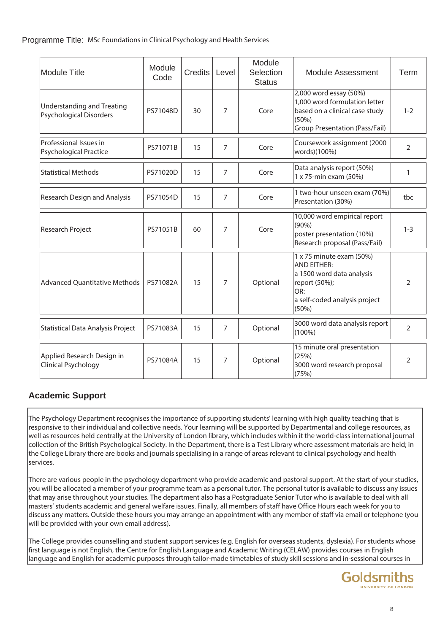| <b>Module Title</b>                                          | Module<br>Code | <b>Credits</b> | Level          | Module<br>Selection<br><b>Status</b> | Module Assessment                                                                                                                                    | Term           |
|--------------------------------------------------------------|----------------|----------------|----------------|--------------------------------------|------------------------------------------------------------------------------------------------------------------------------------------------------|----------------|
| <b>Understanding and Treating</b><br>Psychological Disorders | PS71048D       | 30             | $\overline{7}$ | Core                                 | 2,000 word essay (50%)<br>1,000 word formulation letter<br>based on a clinical case study<br>(50%)<br><b>Group Presentation (Pass/Fail)</b>          | $1 - 2$        |
| Professional Issues in<br><b>Psychological Practice</b>      | PS71071B       | 15             | 7              | Core                                 | Coursework assignment (2000<br>words)(100%)                                                                                                          | $\overline{2}$ |
| <b>Statistical Methods</b>                                   | PS71020D       | 15             | 7              | Core                                 | Data analysis report (50%)<br>1 x 75-min exam (50%)                                                                                                  | $\mathbf{1}$   |
| <b>Research Design and Analysis</b>                          | PS71054D       | 15             | $\overline{7}$ | Core                                 | 1 two-hour unseen exam (70%)<br>Presentation (30%)                                                                                                   | tbc            |
| Research Project                                             | PS71051B       | 60             | 7              | Core                                 | 10,000 word empirical report<br>$(90\%)$<br>poster presentation (10%)<br>Research proposal (Pass/Fail)                                               | $1 - 3$        |
| <b>Advanced Quantitative Methods</b>                         | PS71082A       | 15             | 7              | Optional                             | $1 \times 75$ minute exam (50%)<br><b>AND EITHER:</b><br>a 1500 word data analysis<br>report (50%);<br>OR:<br>a self-coded analysis project<br>(50%) | $\overline{2}$ |
| Statistical Data Analysis Project                            | PS71083A       | 15             | $\overline{7}$ | Optional                             | 3000 word data analysis report<br>$(100\%)$                                                                                                          | $\overline{2}$ |
| Applied Research Design in<br>Clinical Psychology            | PS71084A       | 15             | $\overline{7}$ | Optional                             | 15 minute oral presentation<br>(25%)<br>3000 word research proposal<br>(75%)                                                                         | $\overline{2}$ |

## **Academic Support**

The Psychology Department recognises the importance of supporting students' learning with high quality teaching that is responsive to their individual and collective needs. Your learning will be supported by Departmental and college resources, as well as resources held centrally at the University of London library, which includes within it the world-class international journal collection of the British Psychological Society. In the Department, there is a Test Library where assessment materials are held; in the College Library there are books and journals specialising in a range of areas relevant to clinical psychology and health services.

There are various people in the psychology department who provide academic and pastoral support. At the start of your studies, you will be allocated a member of your programme team as a personal tutor. The personal tutor is available to discuss any issues that may arise throughout your studies. The department also has a Postgraduate Senior Tutor who is available to deal with all masters' students academic and general welfare issues. Finally, all members of staff have Office Hours each week for you to discuss any matters. Outside these hours you may arrange an appointment with any member of staff via email or telephone (you will be provided with your own email address).

The College provides counselling and student support services (e.g. English for overseas students, dyslexia). For students whose first language is not English, the Centre for English Language and Academic Writing (CELAW) provides courses in English language and English for academic purposes through tailor-made timetables of study skill sessions and in-sessional courses in

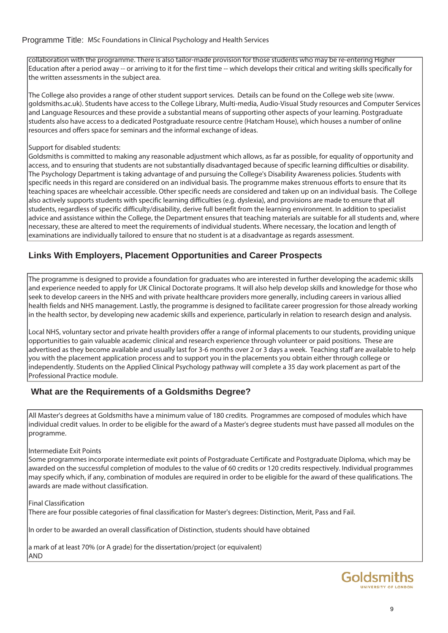collaboration with the programme. There is also tailor-made provision for those students who may be re-entering Higher Education after a period away -- or arriving to it for the first time -- which develops their critical and writing skills specifically for the written assessments in the subject area.

The College also provides a range of other student support services. Details can be found on the College web site (www. goldsmiths.ac.uk). Students have access to the College Library, Multi-media, Audio-Visual Study resources and Computer Services and Language Resources and these provide a substantial means of supporting other aspects of your learning. Postgraduate students also have access to a dedicated Postgraduate resource centre (Hatcham House), which houses a number of online resources and offers space for seminars and the informal exchange of ideas.

#### Support for disabled students:

Goldsmiths is committed to making any reasonable adjustment which allows, as far as possible, for equality of opportunity and access, and to ensuring that students are not substantially disadvantaged because of specific learning difficulties or disability. The Psychology Department is taking advantage of and pursuing the College's Disability Awareness policies. Students with specific needs in this regard are considered on an individual basis. The programme makes strenuous efforts to ensure that its teaching spaces are wheelchair accessible. Other specific needs are considered and taken up on an individual basis. The College also actively supports students with specific learning difficulties (e.g. dyslexia), and provisions are made to ensure that all students, regardless of specific difficulty/disability, derive full benefit from the learning environment. In addition to specialist advice and assistance within the College, the Department ensures that teaching materials are suitable for all students and, where necessary, these are altered to meet the requirements of individual students. Where necessary, the location and length of examinations are individually tailored to ensure that no student is at a disadvantage as regards assessment.

## **Links With Employers, Placement Opportunities and Career Prospects**

The programme is designed to provide a foundation for graduates who are interested in further developing the academic skills and experience needed to apply for UK Clinical Doctorate programs. It will also help develop skills and knowledge for those who seek to develop careers in the NHS and with private healthcare providers more generally, including careers in various allied health fields and NHS management. Lastly, the programme is designed to facilitate career progression for those already working in the health sector, by developing new academic skills and experience, particularly in relation to research design and analysis.

Local NHS, voluntary sector and private health providers offer a range of informal placements to our students, providing unique opportunities to gain valuable academic clinical and research experience through volunteer or paid positions. These are advertised as they become available and usually last for 3-6 months over 2 or 3 days a week. Teaching staff are available to help you with the placement application process and to support you in the placements you obtain either through college or independently. Students on the Applied Clinical Psychology pathway will complete a 35 day work placement as part of the Professional Practice module.

## **What are the Requirements of a Goldsmiths Degree?**

All Master's degrees at Goldsmiths have a minimum value of 180 credits. Programmes are composed of modules which have individual credit values. In order to be eligible for the award of a Master's degree students must have passed all modules on the programme.

#### Intermediate Exit Points

Some programmes incorporate intermediate exit points of Postgraduate Certificate and Postgraduate Diploma, which may be awarded on the successful completion of modules to the value of 60 credits or 120 credits respectively. Individual programmes may specify which, if any, combination of modules are required in order to be eligible for the award of these qualifications. The awards are made without classification.

Final Classification

There are four possible categories of final classification for Master's degrees: Distinction, Merit, Pass and Fail.

In order to be awarded an overall classification of Distinction, students should have obtained

a mark of at least 70% (or A grade) for the dissertation/project (or equivalent) AND